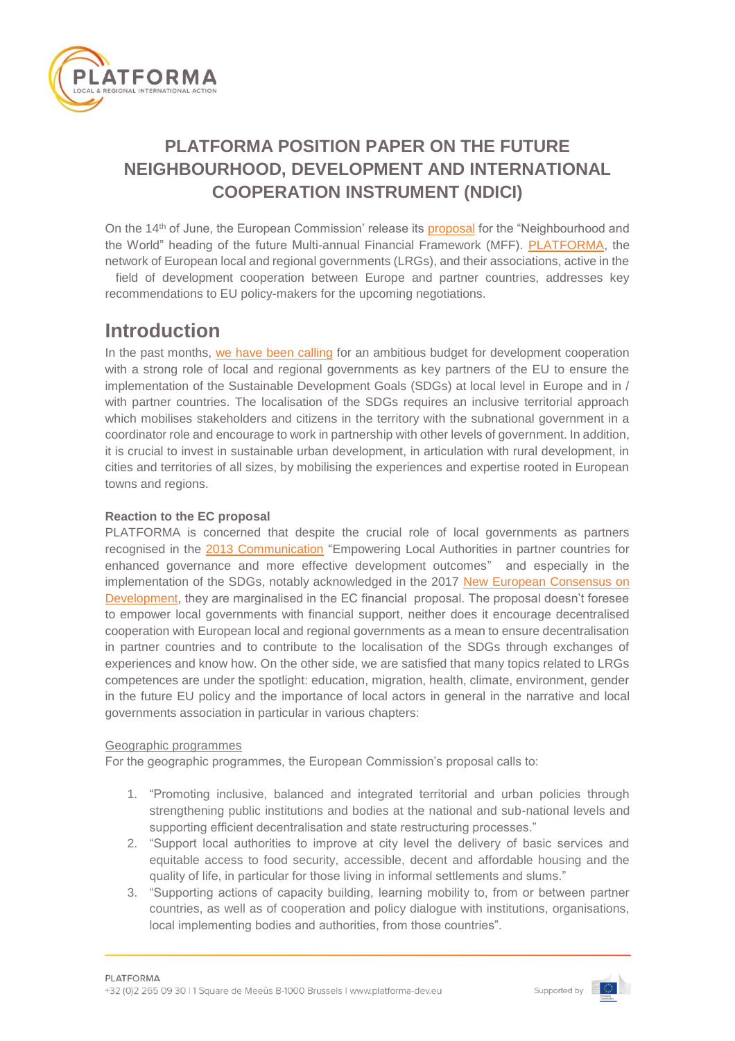

# **PLATFORMA POSITION PAPER ON THE FUTURE NEIGHBOURHOOD, DEVELOPMENT AND INTERNATIONAL COOPERATION INSTRUMENT (NDICI)**

On the 14<sup>th</sup> of June, the European Commission' release its [proposal](https://ec.europa.eu/commission/publications/neighbourhood-and-world_en) for the "Neighbourhood and the World" heading of the future Multi-annual Financial Framework (MFF). [PLATFORMA,](http://platforma-dev.eu/) the network of European local and regional governments (LRGs), and their associations, active in the field of development cooperation between Europe and partner countries, addresses key recommendations to EU policy-makers for the upcoming negotiations.

# **Introduction**

In the past months, [we have been calling](http://platforma-dev.eu/wp-content/uploads/2018/01/180119-PLATFORMA-advocacy-paper_EXTERNAL.pdf) for an ambitious budget for development cooperation with a strong role of local and regional governments as key partners of the EU to ensure the implementation of the Sustainable Development Goals (SDGs) at local level in Europe and in / with partner countries. The localisation of the SDGs requires an inclusive territorial approach which mobilises stakeholders and citizens in the territory with the subnational government in a coordinator role and encourage to work in partnership with other levels of government. In addition, it is crucial to invest in sustainable urban development, in articulation with rural development, in cities and territories of all sizes, by mobilising the experiences and expertise rooted in European towns and regions.

## **Reaction to the EC proposal**

PLATFORMA is concerned that despite the crucial role of local governments as partners recognised in the [2013 Communication](https://ec.europa.eu/europeaid/sites/devco/files/communication-local-authorities-in-partner-countries-com2013280-20130515_en_4.pdf) "Empowering Local Authorities in partner countries for enhanced governance and more effective development outcomes" and especially in the implementation of the SDGs, notably acknowledged in the 2017 [New European Consensus on](https://ec.europa.eu/europeaid/sites/devco/files/european-consensus-on-development-final-20170626_en.pdf)  [Development,](https://ec.europa.eu/europeaid/sites/devco/files/european-consensus-on-development-final-20170626_en.pdf) they are marginalised in the EC financial proposal. The proposal doesn't foresee to empower local governments with financial support, neither does it encourage decentralised cooperation with European local and regional governments as a mean to ensure decentralisation in partner countries and to contribute to the localisation of the SDGs through exchanges of experiences and know how. On the other side, we are satisfied that many topics related to LRGs competences are under the spotlight: education, migration, health, climate, environment, gender in the future EU policy and the importance of local actors in general in the narrative and local governments association in particular in various chapters:

### Geographic programmes

For the geographic programmes, the European Commission's proposal calls to:

- 1. "Promoting inclusive, balanced and integrated territorial and urban policies through strengthening public institutions and bodies at the national and sub-national levels and supporting efficient decentralisation and state restructuring processes."
- 2. "Support local authorities to improve at city level the delivery of basic services and equitable access to food security, accessible, decent and affordable housing and the quality of life, in particular for those living in informal settlements and slums."
- 3. "Supporting actions of capacity building, learning mobility to, from or between partner countries, as well as of cooperation and policy dialogue with institutions, organisations, local implementing bodies and authorities, from those countries".



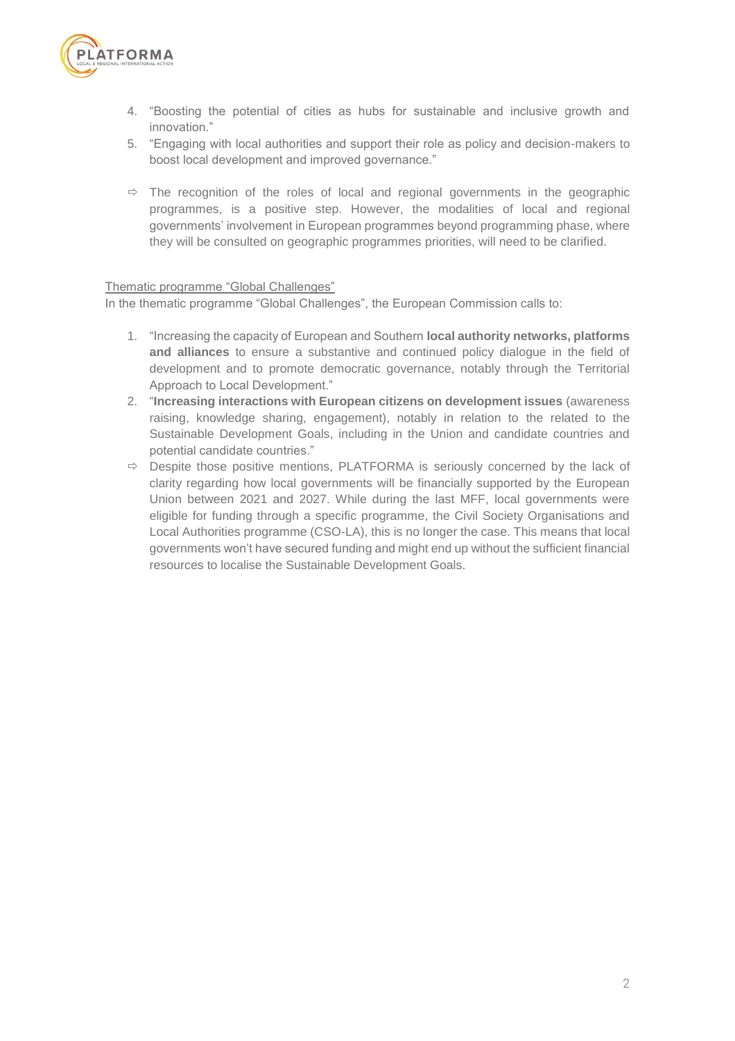

- 4. "Boosting the potential of cities as hubs for sustainable and inclusive growth and innovation."
- 5. "Engaging with local authorities and support their role as policy and decision-makers to boost local development and improved governance."
- $\Rightarrow$  The recognition of the roles of local and regional governments in the geographic programmes, is a positive step. However, the modalities of local and regional governments' involvement in European programmes beyond programming phase, where they will be consulted on geographic programmes priorities, will need to be clarified.

#### Thematic programme "Global Challenges"

In the thematic programme "Global Challenges", the European Commission calls to:

- 1. "Increasing the capacity of European and Southern **local authority networks, platforms and alliances** to ensure a substantive and continued policy dialogue in the field of development and to promote democratic governance, notably through the Territorial Approach to Local Development."
- 2. "**Increasing interactions with European citizens on development issues** (awareness raising, knowledge sharing, engagement), notably in relation to the related to the Sustainable Development Goals, including in the Union and candidate countries and potential candidate countries."
- $\Rightarrow$  Despite those positive mentions, PLATFORMA is seriously concerned by the lack of clarity regarding how local governments will be financially supported by the European Union between 2021 and 2027. While during the last MFF, local governments were eligible for funding through a specific programme, the Civil Society Organisations and Local Authorities programme (CSO-LA), this is no longer the case. This means that local governments won't have secured funding and might end up without the sufficient financial resources to localise the Sustainable Development Goals.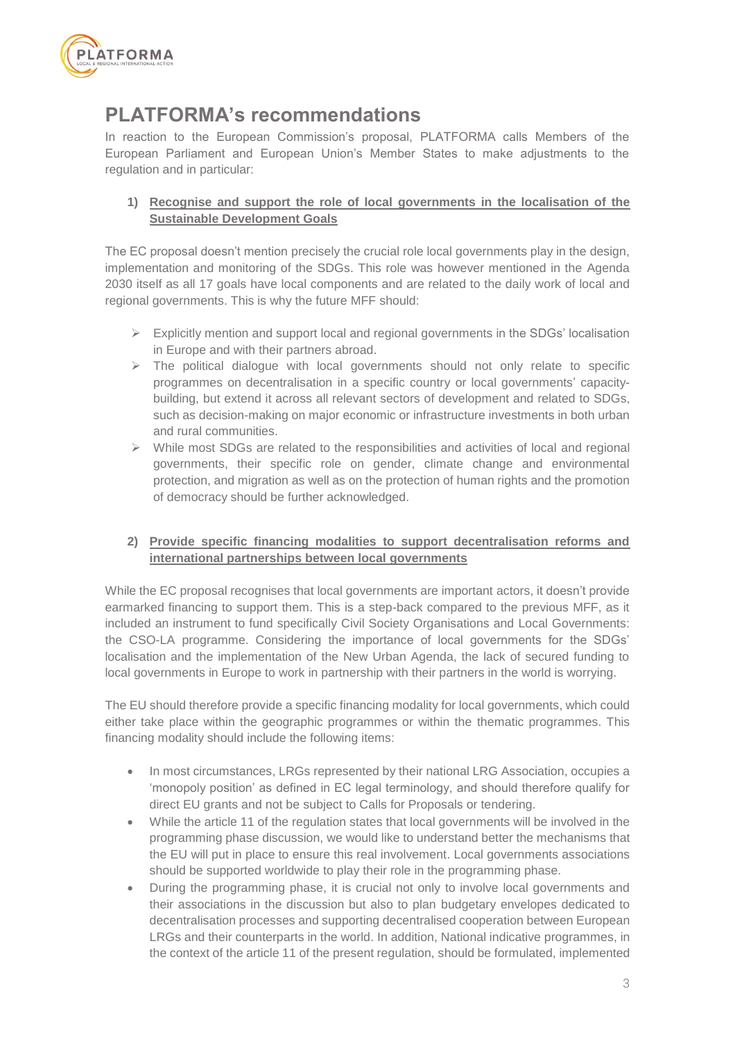

# **PLATFORMA's recommendations**

In reaction to the European Commission's proposal, PLATFORMA calls Members of the European Parliament and European Union's Member States to make adjustments to the regulation and in particular:

## **1) Recognise and support the role of local governments in the localisation of the Sustainable Development Goals**

The EC proposal doesn't mention precisely the crucial role local governments play in the design, implementation and monitoring of the SDGs. This role was however mentioned in the Agenda 2030 itself as all 17 goals have local components and are related to the daily work of local and regional governments. This is why the future MFF should:

- $\triangleright$  Explicitly mention and support local and regional governments in the SDGs' localisation in Europe and with their partners abroad.
- $\triangleright$  The political dialogue with local governments should not only relate to specific programmes on decentralisation in a specific country or local governments' capacitybuilding, but extend it across all relevant sectors of development and related to SDGs, such as decision-making on major economic or infrastructure investments in both urban and rural communities.
- $\triangleright$  While most SDGs are related to the responsibilities and activities of local and regional governments, their specific role on gender, climate change and environmental protection, and migration as well as on the protection of human rights and the promotion of democracy should be further acknowledged.

### **2) Provide specific financing modalities to support decentralisation reforms and international partnerships between local governments**

While the EC proposal recognises that local governments are important actors, it doesn't provide earmarked financing to support them. This is a step-back compared to the previous MFF, as it included an instrument to fund specifically Civil Society Organisations and Local Governments: the CSO-LA programme. Considering the importance of local governments for the SDGs' localisation and the implementation of the New Urban Agenda, the lack of secured funding to local governments in Europe to work in partnership with their partners in the world is worrying.

The EU should therefore provide a specific financing modality for local governments, which could either take place within the geographic programmes or within the thematic programmes. This financing modality should include the following items:

- In most circumstances, LRGs represented by their national LRG Association, occupies a 'monopoly position' as defined in EC legal terminology, and should therefore qualify for direct EU grants and not be subject to Calls for Proposals or tendering.
- While the article 11 of the regulation states that local governments will be involved in the programming phase discussion, we would like to understand better the mechanisms that the EU will put in place to ensure this real involvement. Local governments associations should be supported worldwide to play their role in the programming phase.
- During the programming phase, it is crucial not only to involve local governments and their associations in the discussion but also to plan budgetary envelopes dedicated to decentralisation processes and supporting decentralised cooperation between European LRGs and their counterparts in the world. In addition, National indicative programmes, in the context of the article 11 of the present regulation, should be formulated, implemented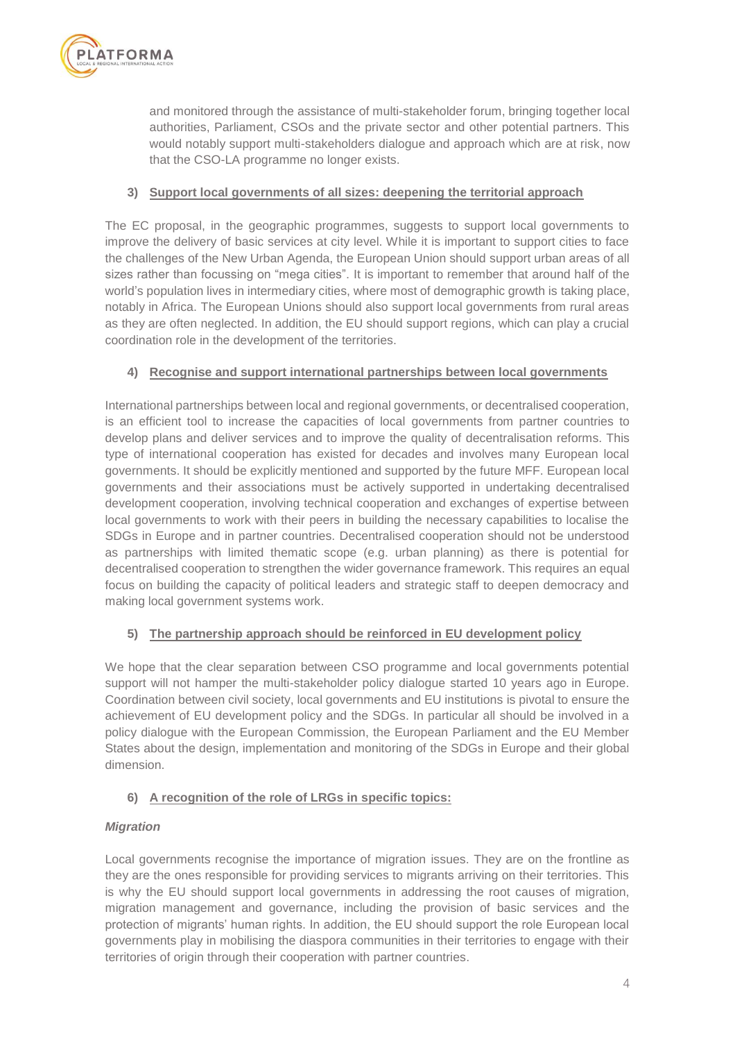

and monitored through the assistance of multi-stakeholder forum, bringing together local authorities, Parliament, CSOs and the private sector and other potential partners. This would notably support multi-stakeholders dialogue and approach which are at risk, now that the CSO-LA programme no longer exists.

### **3) Support local governments of all sizes: deepening the territorial approach**

The EC proposal, in the geographic programmes, suggests to support local governments to improve the delivery of basic services at city level. While it is important to support cities to face the challenges of the New Urban Agenda, the European Union should support urban areas of all sizes rather than focussing on "mega cities". It is important to remember that around half of the world's population lives in intermediary cities, where most of demographic growth is taking place, notably in Africa. The European Unions should also support local governments from rural areas as they are often neglected. In addition, the EU should support regions, which can play a crucial coordination role in the development of the territories.

### **4) Recognise and support international partnerships between local governments**

International partnerships between local and regional governments, or decentralised cooperation, is an efficient tool to increase the capacities of local governments from partner countries to develop plans and deliver services and to improve the quality of decentralisation reforms. This type of international cooperation has existed for decades and involves many European local governments. It should be explicitly mentioned and supported by the future MFF. European local governments and their associations must be actively supported in undertaking decentralised development cooperation, involving technical cooperation and exchanges of expertise between local governments to work with their peers in building the necessary capabilities to localise the SDGs in Europe and in partner countries. Decentralised cooperation should not be understood as partnerships with limited thematic scope (e.g. urban planning) as there is potential for decentralised cooperation to strengthen the wider governance framework. This requires an equal focus on building the capacity of political leaders and strategic staff to deepen democracy and making local government systems work.

### **5) The partnership approach should be reinforced in EU development policy**

We hope that the clear separation between CSO programme and local governments potential support will not hamper the multi-stakeholder policy dialogue started 10 years ago in Europe. Coordination between civil society, local governments and EU institutions is pivotal to ensure the achievement of EU development policy and the SDGs. In particular all should be involved in a policy dialogue with the European Commission, the European Parliament and the EU Member States about the design, implementation and monitoring of the SDGs in Europe and their global dimension.

### **6) A recognition of the role of LRGs in specific topics:**

### *Migration*

Local governments recognise the importance of migration issues. They are on the frontline as they are the ones responsible for providing services to migrants arriving on their territories. This is why the EU should support local governments in addressing the root causes of migration, migration management and governance, including the provision of basic services and the protection of migrants' human rights. In addition, the EU should support the role European local governments play in mobilising the diaspora communities in their territories to engage with their territories of origin through their cooperation with partner countries.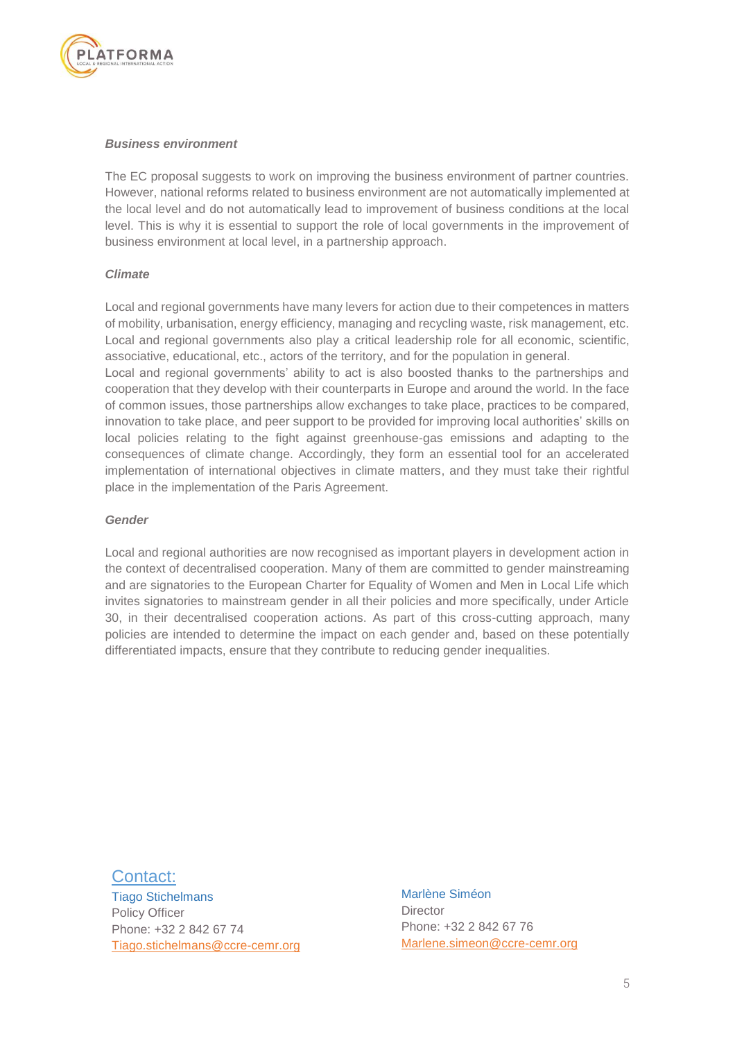

#### *Business environment*

The EC proposal suggests to work on improving the business environment of partner countries. However, national reforms related to business environment are not automatically implemented at the local level and do not automatically lead to improvement of business conditions at the local level. This is why it is essential to support the role of local governments in the improvement of business environment at local level, in a partnership approach.

#### *Climate*

Local and regional governments have many levers for action due to their competences in matters of mobility, urbanisation, energy efficiency, managing and recycling waste, risk management, etc. Local and regional governments also play a critical leadership role for all economic, scientific, associative, educational, etc., actors of the territory, and for the population in general.

Local and regional governments' ability to act is also boosted thanks to the partnerships and cooperation that they develop with their counterparts in Europe and around the world. In the face of common issues, those partnerships allow exchanges to take place, practices to be compared, innovation to take place, and peer support to be provided for improving local authorities' skills on local policies relating to the fight against greenhouse-gas emissions and adapting to the consequences of climate change. Accordingly, they form an essential tool for an accelerated implementation of international objectives in climate matters, and they must take their rightful place in the implementation of the Paris Agreement.

#### *Gender*

Local and regional authorities are now recognised as important players in development action in the context of decentralised cooperation. Many of them are committed to gender mainstreaming and are signatories to the European Charter for Equality of Women and Men in Local Life which invites signatories to mainstream gender in all their policies and more specifically, under Article 30, in their decentralised cooperation actions. As part of this cross-cutting approach, many policies are intended to determine the impact on each gender and, based on these potentially differentiated impacts, ensure that they contribute to reducing gender inequalities.

#### Contact:

Tiago Stichelmans Policy Officer Phone: +32 2 842 67 74 [Tiago.stichelmans@ccre-cemr.org](mailto:Tiago.stichelmans@ccre-cemr.org)

Marlène Siméon **Director** Phone: +32 2 842 67 76 [Marlene.simeon@ccre-cemr.org](mailto:Marlene.simeon@ccre-cemr.org)